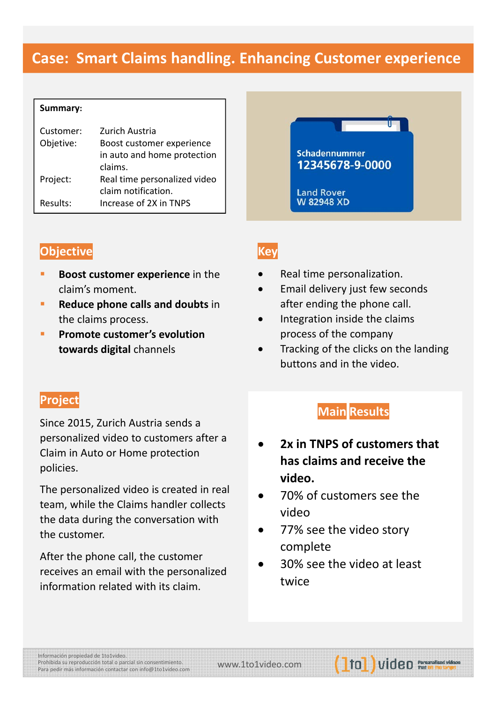# **Case: Smart Claims handling. Enhancing Customer experience**

| Summary:  |                |
|-----------|----------------|
| Customer: | Zurich Austria |

| CUSCUTTET. | Luliuli Austria              |
|------------|------------------------------|
| Objetive:  | Boost customer experience    |
|            | in auto and home protection  |
|            | claims.                      |
| Project:   | Real time personalized video |
|            | claim notification.          |
| Results:   | Increase of 2X in TNPS       |



### **Objective**

- **Boost customer experience** in the claim's moment.
- **Reduce phone calls and doubts** in the claims process.
- **Promote customer's evolution towards digital** channels

### **Key**

- Real time personalization.
- Email delivery just few seconds after ending the phone call.
- Integration inside the claims process of the company
- Tracking of the clicks on the landing buttons and in the video.

### **Project**

Since 2015, Zurich Austria sends a personalized video to customers after a Claim in Auto or Home protection policies.

The personalized video is created in real team, while the Claims handler collects the data during the conversation with the customer.

After the phone call, the customer receives an email with the personalized information related with its claim.

# **Main Results**

- **2x in TNPS of customers that has claims and receive the video.**
- 70% of customers see the video
- 77% see the video story complete
- 30% see the video at least twice